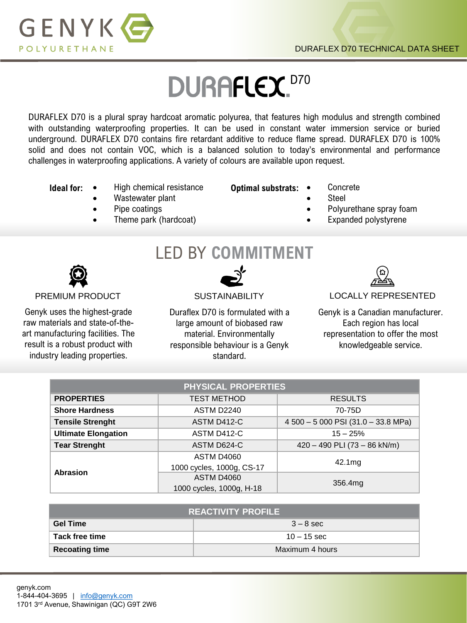

# DURAFLEX.D70

DURAFLEX D70 is a plural spray hardcoat aromatic polyurea, that features high modulus and strength combined with outstanding waterproofing properties. It can be used in constant water immersion service or buried underground. DURAFLEX D70 contains fire retardant additive to reduce flame spread. DURAFLEX D70 is 100% solid and does not contain VOC, which is a balanced solution to today's environmental and performance challenges in waterproofing applications. A variety of colours are available upon request.

- **Ideal for:** High chemical resistance
	- Wastewater plant
	- Pipe coatings
	- Theme park (hardcoat)
- **Optimal substrats:** Concrete
	- Steel
	- Polyurethane spray foam
		- Expanded polystyrene

Genyk uses the highest-grade raw materials and state-of-theart manufacturing facilities. The result is a robust product with industry leading properties.

LED BY **COMMITMENT**

Duraflex D70 is formulated with a large amount of biobased raw material. Environmentally responsible behaviour is a Genyk standard.



## PREMIUM PRODUCT SUSTAINABILITY LOCALLY REPRESENTED

Genyk is a Canadian manufacturer. Each region has local representation to offer the most knowledgeable service.

| <b>PHYSICAL PROPERTIES</b> |                           |                                     |  |  |
|----------------------------|---------------------------|-------------------------------------|--|--|
| <b>PROPERTIES</b>          | <b>TEST METHOD</b>        | <b>RESULTS</b>                      |  |  |
| <b>Shore Hardness</b>      | ASTM D2240                | 70-75D                              |  |  |
| <b>Tensile Strenght</b>    | ASTM D412-C               | 4 500 - 5 000 PSI (31.0 - 33.8 MPa) |  |  |
| <b>Ultimate Elongation</b> | ASTM D412-C               | $15 - 25%$                          |  |  |
| <b>Tear Strenght</b>       | ASTM D624-C               | $420 - 490$ PLI (73 - 86 kN/m)      |  |  |
| Abrasion                   | <b>ASTM D4060</b>         | 42.1mg                              |  |  |
|                            | 1000 cycles, 1000g, CS-17 |                                     |  |  |
|                            | <b>ASTM D4060</b>         | 356.4mg                             |  |  |
|                            | 1000 cycles, 1000g, H-18  |                                     |  |  |

| <b>REACTIVITY PROFILE</b> |                 |  |
|---------------------------|-----------------|--|
| <b>Gel Time</b>           | $3 - 8$ sec     |  |
| Tack free time            | $10 - 15$ sec   |  |
| <b>Recoating time</b>     | Maximum 4 hours |  |